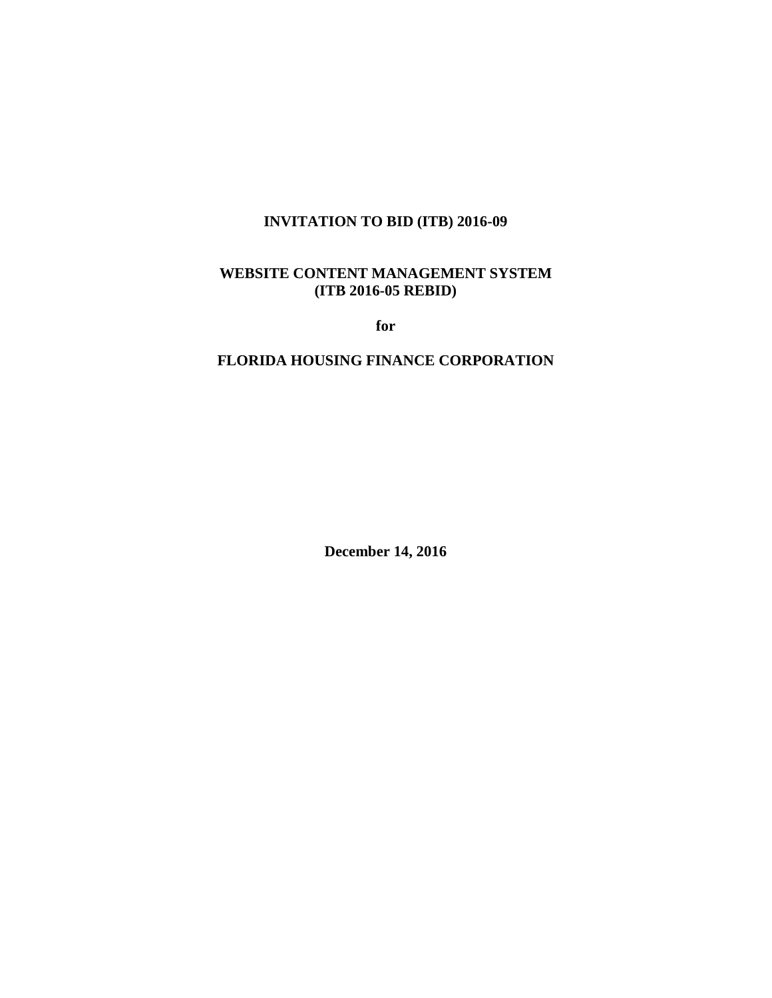# **INVITATION TO BID (ITB) 2016-09**

# **WEBSITE CONTENT MANAGEMENT SYSTEM (ITB 2016-05 REBID)**

**for** 

## **FLORIDA HOUSING FINANCE CORPORATION**

**December 14, 2016**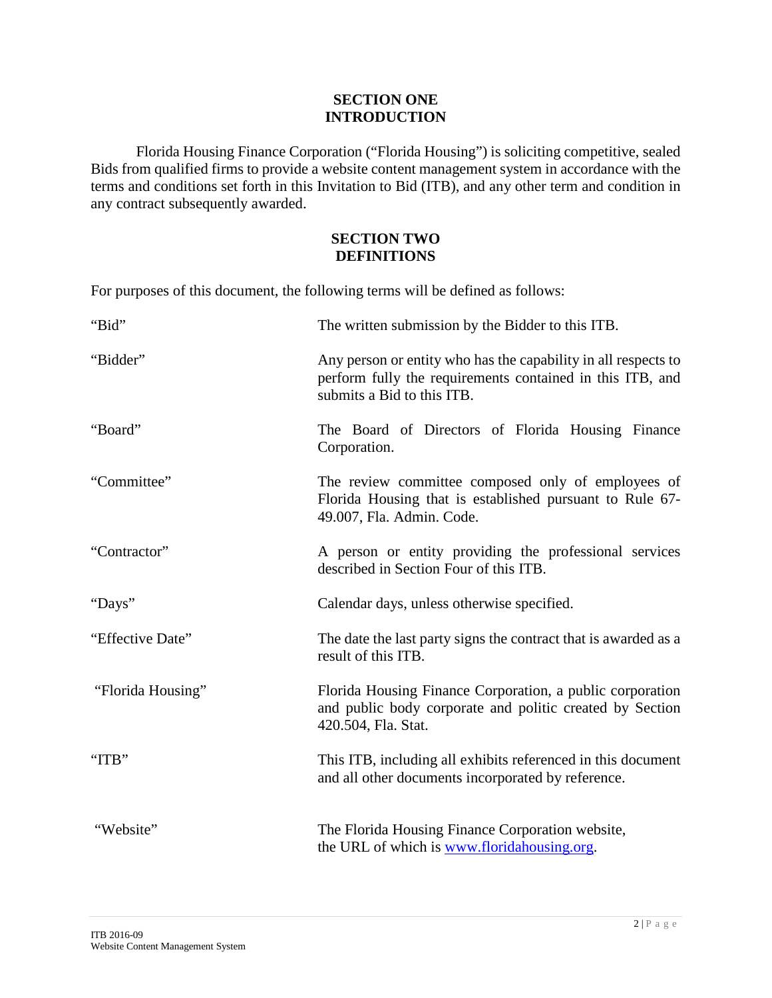## **SECTION ONE INTRODUCTION**

Florida Housing Finance Corporation ("Florida Housing") is soliciting competitive, sealed Bids from qualified firms to provide a website content management system in accordance with the terms and conditions set forth in this Invitation to Bid (ITB), and any other term and condition in any contract subsequently awarded.

## **SECTION TWO DEFINITIONS**

For purposes of this document, the following terms will be defined as follows:

| "Bid"             | The written submission by the Bidder to this ITB.                                                                                                         |  |  |
|-------------------|-----------------------------------------------------------------------------------------------------------------------------------------------------------|--|--|
| "Bidder"          | Any person or entity who has the capability in all respects to<br>perform fully the requirements contained in this ITB, and<br>submits a Bid to this ITB. |  |  |
| "Board"           | The Board of Directors of Florida Housing Finance<br>Corporation.                                                                                         |  |  |
| "Committee"       | The review committee composed only of employees of<br>Florida Housing that is established pursuant to Rule 67-<br>49.007, Fla. Admin. Code.               |  |  |
| "Contractor"      | A person or entity providing the professional services<br>described in Section Four of this ITB.                                                          |  |  |
| "Days"            | Calendar days, unless otherwise specified.                                                                                                                |  |  |
| "Effective Date"  | The date the last party signs the contract that is awarded as a<br>result of this ITB.                                                                    |  |  |
| "Florida Housing" | Florida Housing Finance Corporation, a public corporation<br>and public body corporate and politic created by Section<br>420.504, Fla. Stat.              |  |  |
| "ITB"             | This ITB, including all exhibits referenced in this document<br>and all other documents incorporated by reference.                                        |  |  |
| "Website"         | The Florida Housing Finance Corporation website,<br>the URL of which is www.floridahousing.org.                                                           |  |  |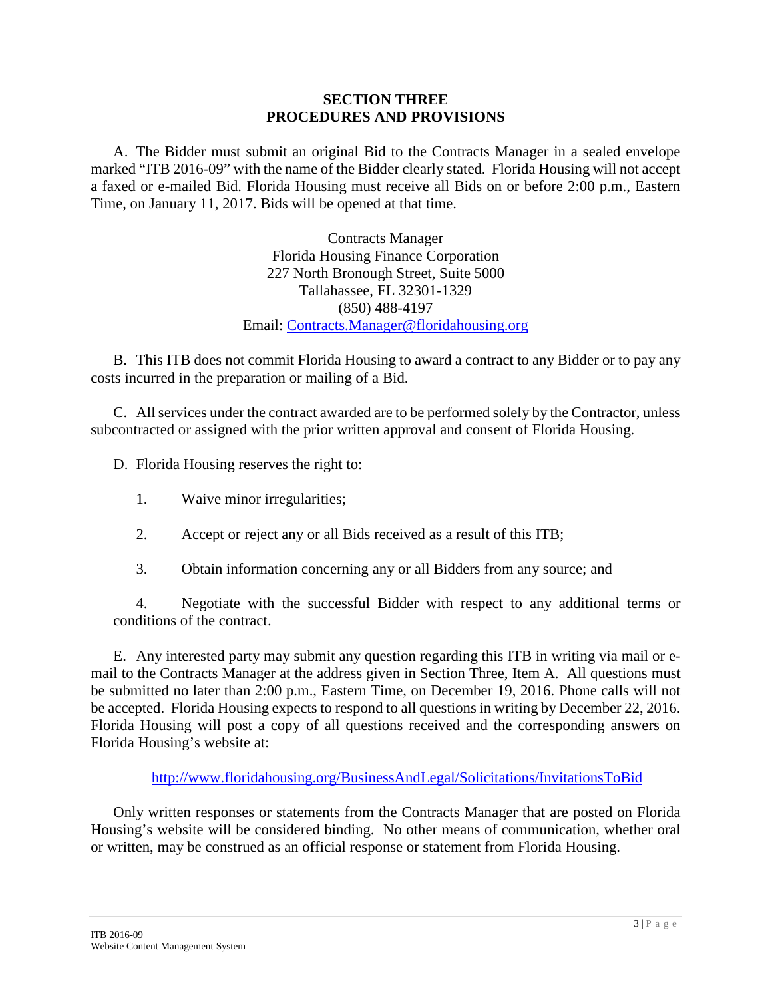#### **SECTION THREE PROCEDURES AND PROVISIONS**

A. The Bidder must submit an original Bid to the Contracts Manager in a sealed envelope marked "ITB 2016-09" with the name of the Bidder clearly stated. Florida Housing will not accept a faxed or e-mailed Bid. Florida Housing must receive all Bids on or before 2:00 p.m., Eastern Time, on January 11, 2017. Bids will be opened at that time.

> Contracts Manager Florida Housing Finance Corporation 227 North Bronough Street, Suite 5000 Tallahassee, FL 32301-1329 (850) 488-4197 Email: [Contracts.Manager@floridahousing.org](mailto:Contracts.Manager@floridahousing.org)

B. This ITB does not commit Florida Housing to award a contract to any Bidder or to pay any costs incurred in the preparation or mailing of a Bid.

C. All services under the contract awarded are to be performed solely by the Contractor, unless subcontracted or assigned with the prior written approval and consent of Florida Housing.

D. Florida Housing reserves the right to:

- 1. Waive minor irregularities;
- 2. Accept or reject any or all Bids received as a result of this ITB;
- 3. Obtain information concerning any or all Bidders from any source; and

4. Negotiate with the successful Bidder with respect to any additional terms or conditions of the contract.

E. Any interested party may submit any question regarding this ITB in writing via mail or email to the Contracts Manager at the address given in Section Three, Item A. All questions must be submitted no later than 2:00 p.m., Eastern Time, on December 19, 2016. Phone calls will not be accepted. Florida Housing expects to respond to all questions in writing by December 22, 2016. Florida Housing will post a copy of all questions received and the corresponding answers on Florida Housing's website at:

<http://www.floridahousing.org/BusinessAndLegal/Solicitations/InvitationsToBid>

Only written responses or statements from the Contracts Manager that are posted on Florida Housing's website will be considered binding. No other means of communication, whether oral or written, may be construed as an official response or statement from Florida Housing.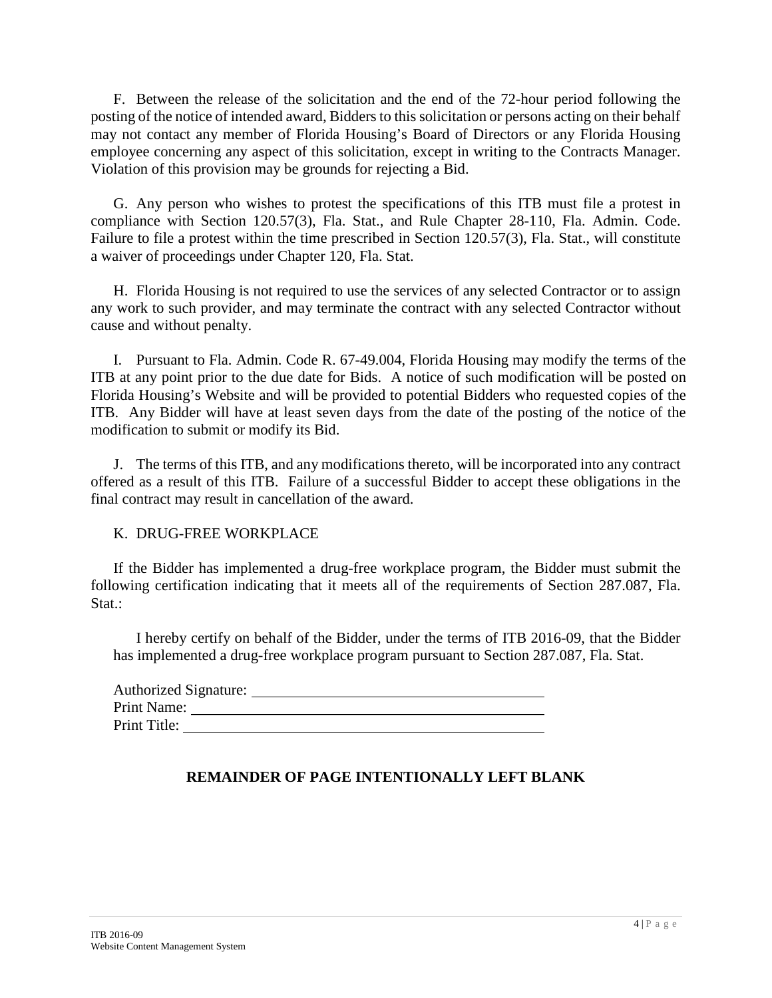F. Between the release of the solicitation and the end of the 72-hour period following the posting of the notice of intended award, Bidders to this solicitation or persons acting on their behalf may not contact any member of Florida Housing's Board of Directors or any Florida Housing employee concerning any aspect of this solicitation, except in writing to the Contracts Manager. Violation of this provision may be grounds for rejecting a Bid.

G. Any person who wishes to protest the specifications of this ITB must file a protest in compliance with Section 120.57(3), Fla. Stat., and Rule Chapter 28-110, Fla. Admin. Code. Failure to file a protest within the time prescribed in Section 120.57(3), Fla. Stat., will constitute a waiver of proceedings under Chapter 120, Fla. Stat.

H. Florida Housing is not required to use the services of any selected Contractor or to assign any work to such provider, and may terminate the contract with any selected Contractor without cause and without penalty.

I. Pursuant to Fla. Admin. Code R. 67-49.004, Florida Housing may modify the terms of the ITB at any point prior to the due date for Bids. A notice of such modification will be posted on Florida Housing's Website and will be provided to potential Bidders who requested copies of the ITB. Any Bidder will have at least seven days from the date of the posting of the notice of the modification to submit or modify its Bid.

J. The terms of this ITB, and any modifications thereto, will be incorporated into any contract offered as a result of this ITB. Failure of a successful Bidder to accept these obligations in the final contract may result in cancellation of the award.

# K. DRUG-FREE WORKPLACE

If the Bidder has implemented a drug-free workplace program, the Bidder must submit the following certification indicating that it meets all of the requirements of Section 287.087, Fla. Stat.:

I hereby certify on behalf of the Bidder, under the terms of ITB 2016-09, that the Bidder has implemented a drug-free workplace program pursuant to Section 287.087, Fla. Stat.

| <b>Authorized Signature:</b> |  |
|------------------------------|--|
| Print Name:                  |  |
| Print Title:                 |  |

# **REMAINDER OF PAGE INTENTIONALLY LEFT BLANK**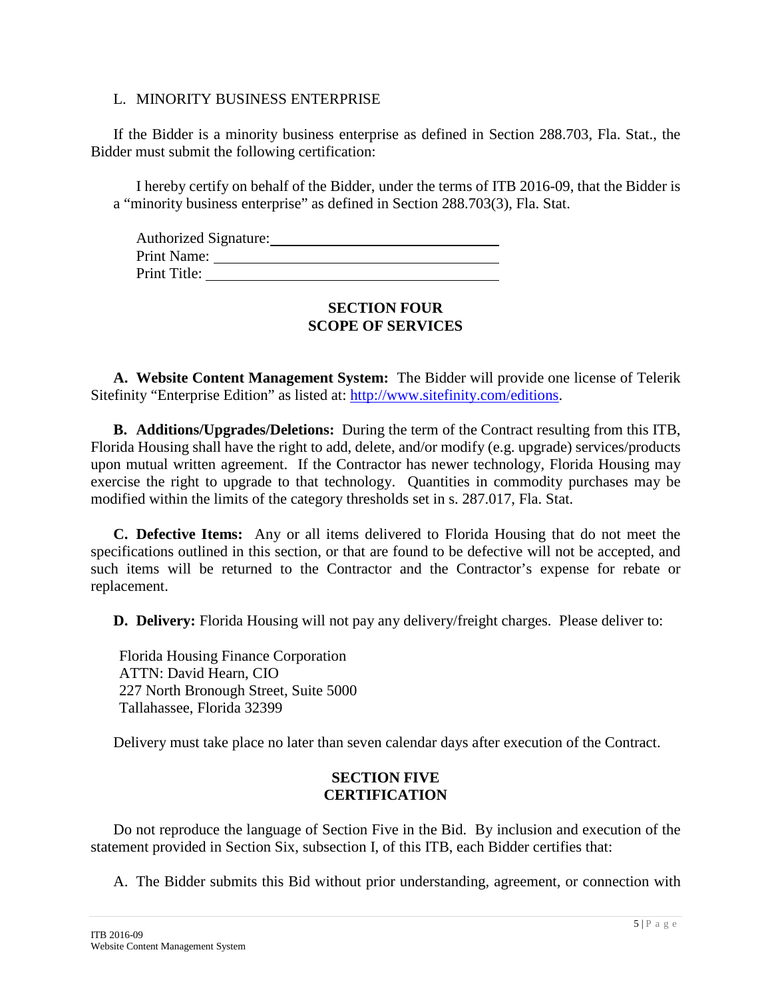#### L. MINORITY BUSINESS ENTERPRISE

If the Bidder is a minority business enterprise as defined in Section 288.703, Fla. Stat., the Bidder must submit the following certification:

I hereby certify on behalf of the Bidder, under the terms of ITB 2016-09, that the Bidder is a "minority business enterprise" as defined in Section 288.703(3), Fla. Stat.

| <b>Authorized Signature:</b> |  |
|------------------------------|--|
| Print Name:                  |  |
| Print Title:                 |  |

## **SECTION FOUR SCOPE OF SERVICES**

**A. Website Content Management System:** The Bidder will provide one license of Telerik Sitefinity "Enterprise Edition" as listed at: [http://www.sitefinity.com/editions.](http://www.sitefinity.com/editions)

**B. Additions/Upgrades/Deletions:** During the term of the Contract resulting from this ITB, Florida Housing shall have the right to add, delete, and/or modify (e.g. upgrade) services/products upon mutual written agreement. If the Contractor has newer technology, Florida Housing may exercise the right to upgrade to that technology. Quantities in commodity purchases may be modified within the limits of the category thresholds set in s. 287.017, Fla. Stat.

**C. Defective Items:** Any or all items delivered to Florida Housing that do not meet the specifications outlined in this section, or that are found to be defective will not be accepted, and such items will be returned to the Contractor and the Contractor's expense for rebate or replacement.

**D. Delivery:** Florida Housing will not pay any delivery/freight charges. Please deliver to:

Florida Housing Finance Corporation ATTN: David Hearn, CIO 227 North Bronough Street, Suite 5000 Tallahassee, Florida 32399

Delivery must take place no later than seven calendar days after execution of the Contract.

## **SECTION FIVE CERTIFICATION**

Do not reproduce the language of Section Five in the Bid. By inclusion and execution of the statement provided in Section Six, subsection I, of this ITB, each Bidder certifies that:

A. The Bidder submits this Bid without prior understanding, agreement, or connection with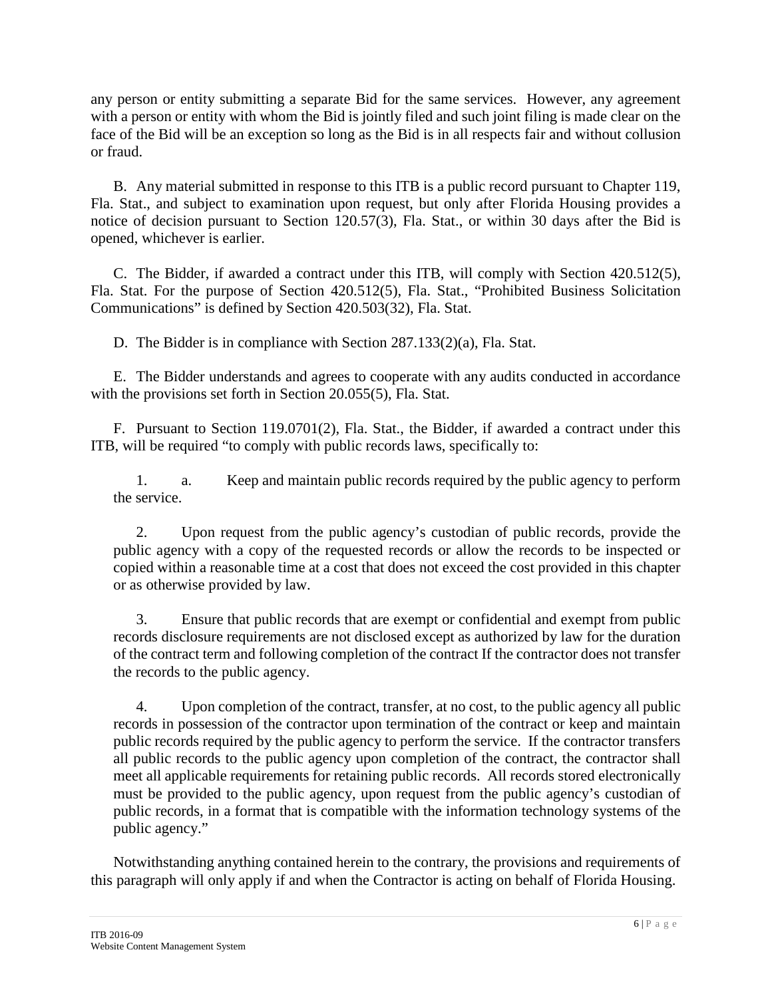any person or entity submitting a separate Bid for the same services. However, any agreement with a person or entity with whom the Bid is jointly filed and such joint filing is made clear on the face of the Bid will be an exception so long as the Bid is in all respects fair and without collusion or fraud.

B. Any material submitted in response to this ITB is a public record pursuant to Chapter 119, Fla. Stat., and subject to examination upon request, but only after Florida Housing provides a notice of decision pursuant to Section 120.57(3), Fla. Stat., or within 30 days after the Bid is opened, whichever is earlier.

C. The Bidder, if awarded a contract under this ITB, will comply with Section 420.512(5), Fla. Stat. For the purpose of Section 420.512(5), Fla. Stat., "Prohibited Business Solicitation Communications" is defined by Section 420.503(32), Fla. Stat.

D. The Bidder is in compliance with Section 287.133(2)(a), Fla. Stat.

E. The Bidder understands and agrees to cooperate with any audits conducted in accordance with the provisions set forth in Section 20.055(5), Fla. Stat.

F. Pursuant to Section 119.0701(2), Fla. Stat., the Bidder, if awarded a contract under this ITB, will be required "to comply with public records laws, specifically to:

1. a. Keep and maintain public records required by the public agency to perform the service.

2. Upon request from the public agency's custodian of public records, provide the public agency with a copy of the requested records or allow the records to be inspected or copied within a reasonable time at a cost that does not exceed the cost provided in this chapter or as otherwise provided by law.

3. Ensure that public records that are exempt or confidential and exempt from public records disclosure requirements are not disclosed except as authorized by law for the duration of the contract term and following completion of the contract If the contractor does not transfer the records to the public agency.

4. Upon completion of the contract, transfer, at no cost, to the public agency all public records in possession of the contractor upon termination of the contract or keep and maintain public records required by the public agency to perform the service. If the contractor transfers all public records to the public agency upon completion of the contract, the contractor shall meet all applicable requirements for retaining public records. All records stored electronically must be provided to the public agency, upon request from the public agency's custodian of public records, in a format that is compatible with the information technology systems of the public agency."

Notwithstanding anything contained herein to the contrary, the provisions and requirements of this paragraph will only apply if and when the Contractor is acting on behalf of Florida Housing.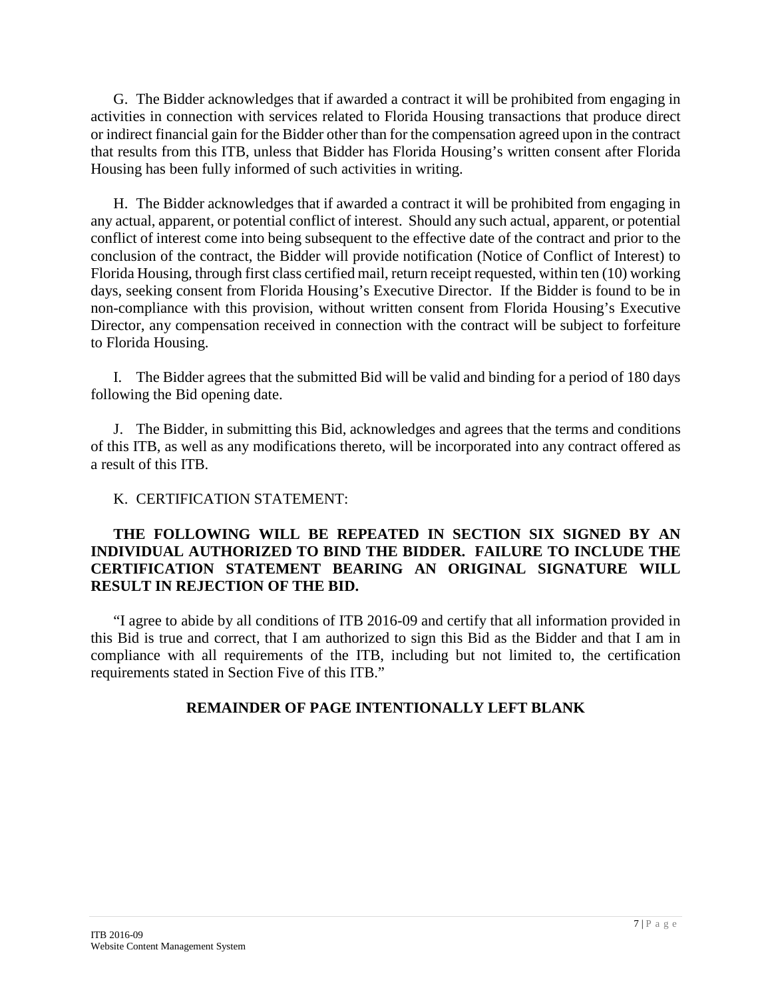G. The Bidder acknowledges that if awarded a contract it will be prohibited from engaging in activities in connection with services related to Florida Housing transactions that produce direct or indirect financial gain for the Bidder other than for the compensation agreed upon in the contract that results from this ITB, unless that Bidder has Florida Housing's written consent after Florida Housing has been fully informed of such activities in writing.

H. The Bidder acknowledges that if awarded a contract it will be prohibited from engaging in any actual, apparent, or potential conflict of interest. Should any such actual, apparent, or potential conflict of interest come into being subsequent to the effective date of the contract and prior to the conclusion of the contract, the Bidder will provide notification (Notice of Conflict of Interest) to Florida Housing, through first class certified mail, return receipt requested, within ten (10) working days, seeking consent from Florida Housing's Executive Director. If the Bidder is found to be in non-compliance with this provision, without written consent from Florida Housing's Executive Director, any compensation received in connection with the contract will be subject to forfeiture to Florida Housing.

I. The Bidder agrees that the submitted Bid will be valid and binding for a period of 180 days following the Bid opening date.

J. The Bidder, in submitting this Bid, acknowledges and agrees that the terms and conditions of this ITB, as well as any modifications thereto, will be incorporated into any contract offered as a result of this ITB.

K. CERTIFICATION STATEMENT:

## **THE FOLLOWING WILL BE REPEATED IN SECTION SIX SIGNED BY AN INDIVIDUAL AUTHORIZED TO BIND THE BIDDER. FAILURE TO INCLUDE THE CERTIFICATION STATEMENT BEARING AN ORIGINAL SIGNATURE WILL RESULT IN REJECTION OF THE BID.**

"I agree to abide by all conditions of ITB 2016-09 and certify that all information provided in this Bid is true and correct, that I am authorized to sign this Bid as the Bidder and that I am in compliance with all requirements of the ITB, including but not limited to, the certification requirements stated in Section Five of this ITB."

# **REMAINDER OF PAGE INTENTIONALLY LEFT BLANK**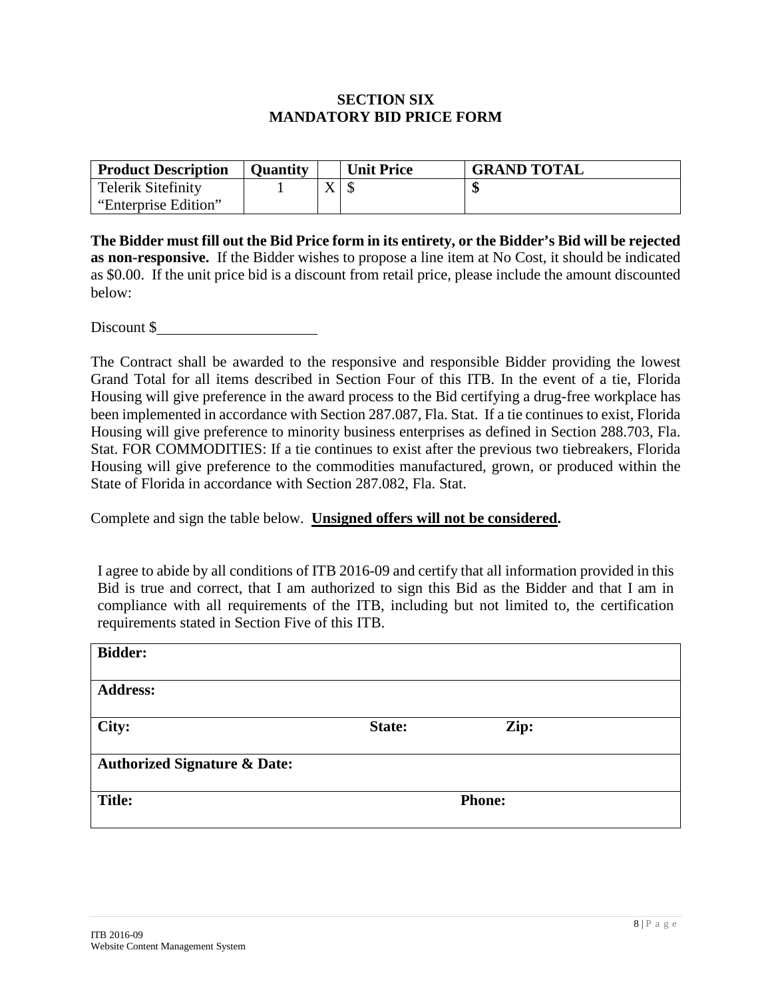## **SECTION SIX MANDATORY BID PRICE FORM**

| <b>Product Description</b> | <b>Ouantity</b> |           | <b>Unit Price</b> | <b>GRAND TOTAL</b> |
|----------------------------|-----------------|-----------|-------------------|--------------------|
| <b>Telerik Sitefinity</b>  |                 | $\Lambda$ |                   |                    |
| "Enterprise Edition"       |                 |           |                   |                    |

**The Bidder must fill out the Bid Price form in its entirety, or the Bidder's Bid will be rejected as non-responsive.** If the Bidder wishes to propose a line item at No Cost, it should be indicated as \$0.00. If the unit price bid is a discount from retail price, please include the amount discounted below:

Discount \$

The Contract shall be awarded to the responsive and responsible Bidder providing the lowest Grand Total for all items described in Section Four of this ITB. In the event of a tie, Florida Housing will give preference in the award process to the Bid certifying a drug-free workplace has been implemented in accordance with Section 287.087, Fla. Stat. If a tie continues to exist, Florida Housing will give preference to minority business enterprises as defined in Section 288.703, Fla. Stat. FOR COMMODITIES: If a tie continues to exist after the previous two tiebreakers, Florida Housing will give preference to the commodities manufactured, grown, or produced within the State of Florida in accordance with Section 287.082, Fla. Stat.

Complete and sign the table below. **Unsigned offers will not be considered.**

I agree to abide by all conditions of ITB 2016-09 and certify that all information provided in this Bid is true and correct, that I am authorized to sign this Bid as the Bidder and that I am in compliance with all requirements of the ITB, including but not limited to, the certification requirements stated in Section Five of this ITB.

| <b>Bidder:</b>                          |               |      |  |
|-----------------------------------------|---------------|------|--|
| <b>Address:</b>                         |               |      |  |
| City:                                   | State:        | Zip: |  |
| <b>Authorized Signature &amp; Date:</b> |               |      |  |
| <b>Title:</b>                           | <b>Phone:</b> |      |  |